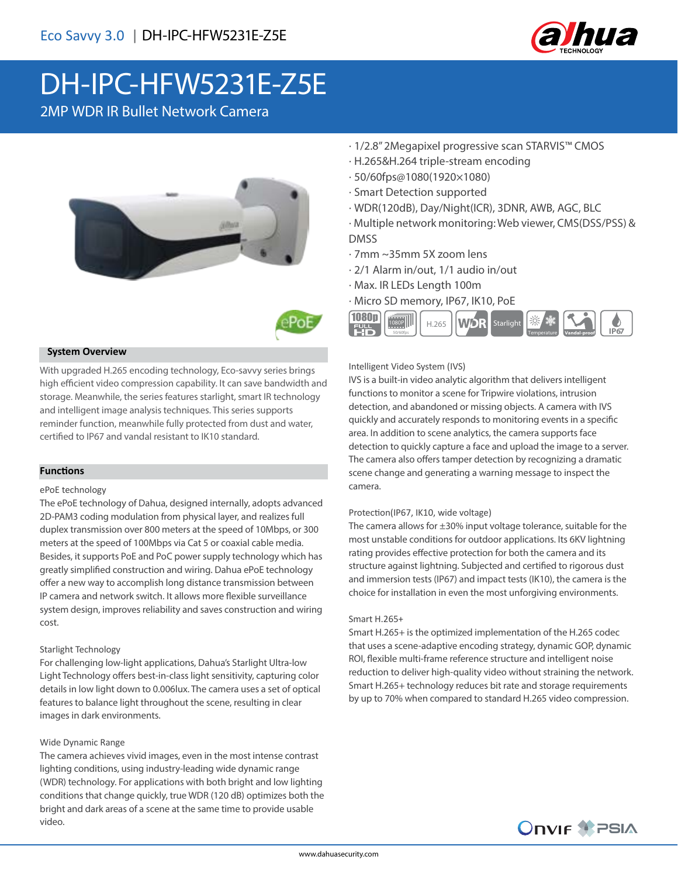

# DH-IPC-HFW5231E-Z5E

2MP WDR IR Bullet Network Camera





### **System Overview**

With upgraded H.265 encoding technology, Eco-savvy series brings high efficient video compression capability. It can save bandwidth and storage. Meanwhile, the series features starlight, smart IR technology and intelligent image analysis techniques. This series supports reminder function, meanwhile fully protected from dust and water, certified to IP67 and vandal resistant to IK10 standard.

### **Functions**

#### ePoE technology

The ePoE technology of Dahua, designed internally, adopts advanced 2D-PAM3 coding modulation from physical layer, and realizes full duplex transmission over 800 meters at the speed of 10Mbps, or 300 meters at the speed of 100Mbps via Cat 5 or coaxial cable media. Besides, it supports PoE and PoC power supply technology which has greatly simplified construction and wiring. Dahua ePoE technology offer a new way to accomplish long distance transmission between IP camera and network switch. It allows more flexible surveillance system design, improves reliability and saves construction and wiring cost.

### Starlight Technology

For challenging low-light applications, Dahua's Starlight Ultra-low Light Technology offers best-in-class light sensitivity, capturing color details in low light down to 0.006lux. The camera uses a set of optical features to balance light throughout the scene, resulting in clear images in dark environments.

### Wide Dynamic Range

The camera achieves vivid images, even in the most intense contrast lighting conditions, using industry-leading wide dynamic range (WDR) technology. For applications with both bright and low lighting conditions that change quickly, true WDR (120 dB) optimizes both the bright and dark areas of a scene at the same time to provide usable video.

- · 1/2.8" 2Megapixel progressive scan STARVIS™ CMOS
- · H.265&H.264 triple-stream encoding
- · 50/60fps@1080(1920×1080)
- · Smart Detection supported
- · WDR(120dB), Day/Night(ICR), 3DNR, AWB, AGC, BLC
- · Multiple network monitoring: Web viewer, CMS(DSS/PSS) & DMSS
- · 7mm ~35mm 5X zoom lens
- · 2/1 Alarm in/out, 1/1 audio in/out
- · Max. IR LEDs Length 100m
- · Micro SD memory, IP67, IK10, PoE



### Intelligent Video System (IVS)

IVS is a built-in video analytic algorithm that delivers intelligent functions to monitor a scene for Tripwire violations, intrusion detection, and abandoned or missing objects. A camera with IVS quickly and accurately responds to monitoring events in a specific area. In addition to scene analytics, the camera supports face detection to quickly capture a face and upload the image to a server. The camera also offers tamper detection by recognizing a dramatic scene change and generating a warning message to inspect the camera.

### Protection(IP67, IK10, wide voltage)

The camera allows for  $\pm 30\%$  input voltage tolerance, suitable for the most unstable conditions for outdoor applications. Its 6KV lightning rating provides effective protection for both the camera and its structure against lightning. Subjected and certified to rigorous dust and immersion tests (IP67) and impact tests (IK10), the camera is the choice for installation in even the most unforgiving environments.

### Smart H.265+

Smart H.265+ is the optimized implementation of the H.265 codec that uses a scene-adaptive encoding strategy, dynamic GOP, dynamic ROI, flexible multi-frame reference structure and intelligent noise reduction to deliver high-quality video without straining the network. Smart H.265+ technology reduces bit rate and storage requirements by up to 70% when compared to standard H.265 video compression.

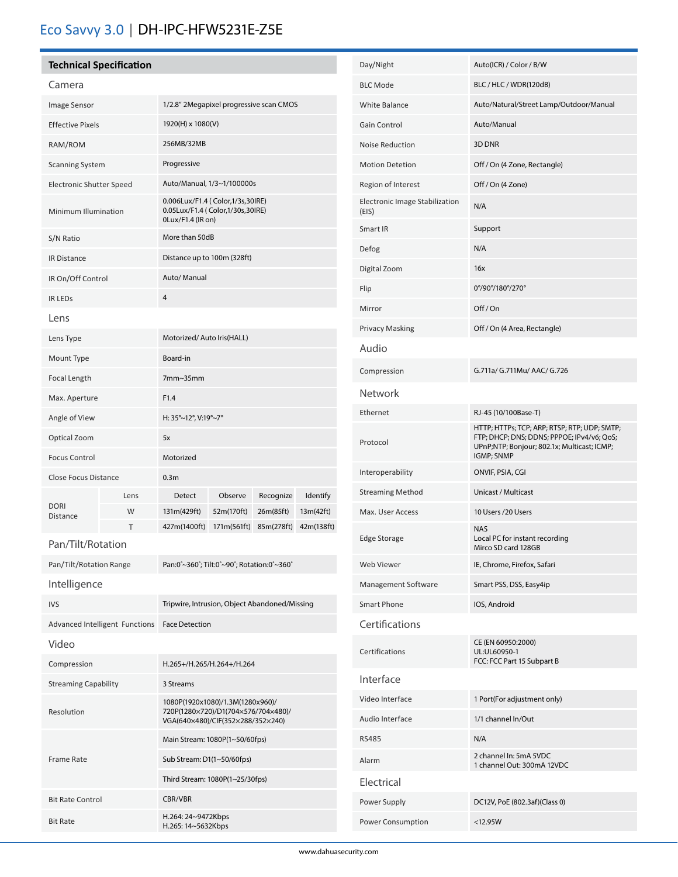## Eco Savvy 3.0 | DH-IPC-HFW5231E-Z5E

### **Technical Specification**

| Camera                         |      |                                                                                                              |                           |            |            |
|--------------------------------|------|--------------------------------------------------------------------------------------------------------------|---------------------------|------------|------------|
| Image Sensor                   |      | 1/2.8" 2Megapixel progressive scan CMOS                                                                      |                           |            |            |
| <b>Effective Pixels</b>        |      | 1920(H) x 1080(V)                                                                                            |                           |            |            |
| RAM/ROM                        |      | 256MB/32MB                                                                                                   |                           |            |            |
| <b>Scanning System</b>         |      | Progressive                                                                                                  |                           |            |            |
| Electronic Shutter Speed       |      | Auto/Manual, 1/3~1/100000s                                                                                   |                           |            |            |
| Minimum Illumination           |      | 0.006Lux/F1.4 ( Color, 1/3s, 30IRE)<br>0.05Lux/F1.4 (Color,1/30s,30IRE)<br>0Lux/F1.4 (IR on)                 |                           |            |            |
| S/N Ratio                      |      | More than 50dB                                                                                               |                           |            |            |
| IR Distance                    |      | Distance up to 100m (328ft)                                                                                  |                           |            |            |
| IR On/Off Control              |      | Auto/ Manual                                                                                                 |                           |            |            |
| <b>IR LEDS</b>                 |      | 4                                                                                                            |                           |            |            |
| Lens                           |      |                                                                                                              |                           |            |            |
| Lens Type                      |      | Motorized/Auto Iris(HALL)                                                                                    |                           |            |            |
| Mount Type                     |      | Board-in                                                                                                     |                           |            |            |
| Focal Length                   |      | 7mm~35mm                                                                                                     |                           |            |            |
| Max. Aperture                  |      | F1.4                                                                                                         |                           |            |            |
| Angle of View                  |      | H: 35°~12°, V:19°~7°                                                                                         |                           |            |            |
| Optical Zoom                   |      | 5x                                                                                                           |                           |            |            |
| <b>Focus Control</b>           |      | Motorized                                                                                                    |                           |            |            |
| <b>Close Focus Distance</b>    |      | 0.3 <sub>m</sub>                                                                                             |                           |            |            |
|                                | Lens | Detect                                                                                                       | Observe                   | Recognize  | Identify   |
| <b>DORI</b><br>Distance        | W    | 131m(429ft)                                                                                                  | 52m(170ft)                | 26m(85ft)  | 13m(42ft)  |
| Pan/Tilt/Rotation              | т    | 427m(1400ft)                                                                                                 | 171m(561ft)               | 85m(278ft) | 42m(138ft) |
|                                |      |                                                                                                              |                           |            |            |
| Pan/Tilt/Rotation Range        |      | Pan:0°~360°; Tilt:0°~90°; Rotation:0°~360°                                                                   |                           |            |            |
| Intelligence                   |      |                                                                                                              |                           |            |            |
| <b>IVS</b>                     |      | Tripwire, Intrusion, Object Abandoned/Missing                                                                |                           |            |            |
| Advanced Intelligent Functions |      | <b>Face Detection</b>                                                                                        |                           |            |            |
| Video                          |      |                                                                                                              |                           |            |            |
| Compression                    |      |                                                                                                              | H.265+/H.265/H.264+/H.264 |            |            |
| <b>Streaming Capability</b>    |      | 3 Streams                                                                                                    |                           |            |            |
| Resolution                     |      | 1080P(1920x1080)/1.3M(1280x960)/<br>720P(1280×720)/D1(704×576/704×480)/<br>VGA(640×480)/CIF(352×288/352×240) |                           |            |            |
| <b>Frame Rate</b>              |      | Main Stream: 1080P(1~50/60fps)                                                                               |                           |            |            |
|                                |      | Sub Stream: D1(1~50/60fps)                                                                                   |                           |            |            |
|                                |      | Third Stream: 1080P(1~25/30fps)                                                                              |                           |            |            |
| <b>Bit Rate Control</b>        |      | CBR/VBR                                                                                                      |                           |            |            |
| <b>Bit Rate</b>                |      | H.264: 24~9472Kbps<br>H.265: 14~5632Kbps                                                                     |                           |            |            |

| Day/Night                               | Auto(ICR) / Color / B/W                                                                                                                                 |  |  |
|-----------------------------------------|---------------------------------------------------------------------------------------------------------------------------------------------------------|--|--|
| <b>BLC Mode</b>                         | BLC / HLC / WDR(120dB)                                                                                                                                  |  |  |
| White Balance                           | Auto/Natural/Street Lamp/Outdoor/Manual                                                                                                                 |  |  |
| Gain Control                            | Auto/Manual                                                                                                                                             |  |  |
| Noise Reduction                         | 3D DNR                                                                                                                                                  |  |  |
| <b>Motion Detetion</b>                  | Off / On (4 Zone, Rectangle)                                                                                                                            |  |  |
| Region of Interest                      | Off / On (4 Zone)                                                                                                                                       |  |  |
| Electronic Image Stabilization<br>(EIS) | N/A                                                                                                                                                     |  |  |
| Smart IR                                | Support                                                                                                                                                 |  |  |
| Defog                                   | N/A                                                                                                                                                     |  |  |
| Digital Zoom                            | 16x                                                                                                                                                     |  |  |
| Flip                                    | 0°/90°/180°/270°                                                                                                                                        |  |  |
| Mirror                                  | Off/On                                                                                                                                                  |  |  |
| <b>Privacy Masking</b>                  | Off / On (4 Area, Rectangle)                                                                                                                            |  |  |
| Audio                                   |                                                                                                                                                         |  |  |
| Compression                             | G.711a/ G.711Mu/ AAC/ G.726                                                                                                                             |  |  |
| <b>Network</b>                          |                                                                                                                                                         |  |  |
| Ethernet                                | RJ-45 (10/100Base-T)                                                                                                                                    |  |  |
| Protocol                                | HTTP; HTTPs; TCP; ARP; RTSP; RTP; UDP; SMTP;<br>FTP; DHCP; DNS; DDNS; PPPOE; IPv4/v6; QoS;<br>UPnP;NTP; Bonjour; 802.1x; Multicast; ICMP;<br>IGMP; SNMP |  |  |
| Interoperability                        | ONVIF, PSIA, CGI                                                                                                                                        |  |  |
| <b>Streaming Method</b>                 | Unicast / Multicast                                                                                                                                     |  |  |
| Max. User Access                        | 10 Users /20 Users                                                                                                                                      |  |  |
| <b>Edge Storage</b>                     | <b>NAS</b><br>Local PC for instant recording<br>Mirco SD card 128GB                                                                                     |  |  |
| Web Viewer                              | IE, Chrome, Firefox, Safari                                                                                                                             |  |  |
| Management Software                     | Smart PSS, DSS, Easy4ip                                                                                                                                 |  |  |
| Smart Phone                             | IOS, Android                                                                                                                                            |  |  |
| Certifications                          |                                                                                                                                                         |  |  |
| Certifications                          | CE (EN 60950:2000)<br>UL:UL60950-1<br>FCC: FCC Part 15 Subpart B                                                                                        |  |  |
| Interface                               |                                                                                                                                                         |  |  |
| Video Interface                         | 1 Port(For adjustment only)                                                                                                                             |  |  |
| Audio Interface                         | 1/1 channel In/Out                                                                                                                                      |  |  |
| <b>RS485</b>                            | N/A                                                                                                                                                     |  |  |
| Alarm                                   | 2 channel In: 5mA 5VDC<br>1 channel Out: 300mA 12VDC                                                                                                    |  |  |
| Electrical                              |                                                                                                                                                         |  |  |
| Power Supply                            | DC12V, PoE (802.3af)(Class 0)                                                                                                                           |  |  |
| Power Consumption                       | $<$ 12.95W                                                                                                                                              |  |  |